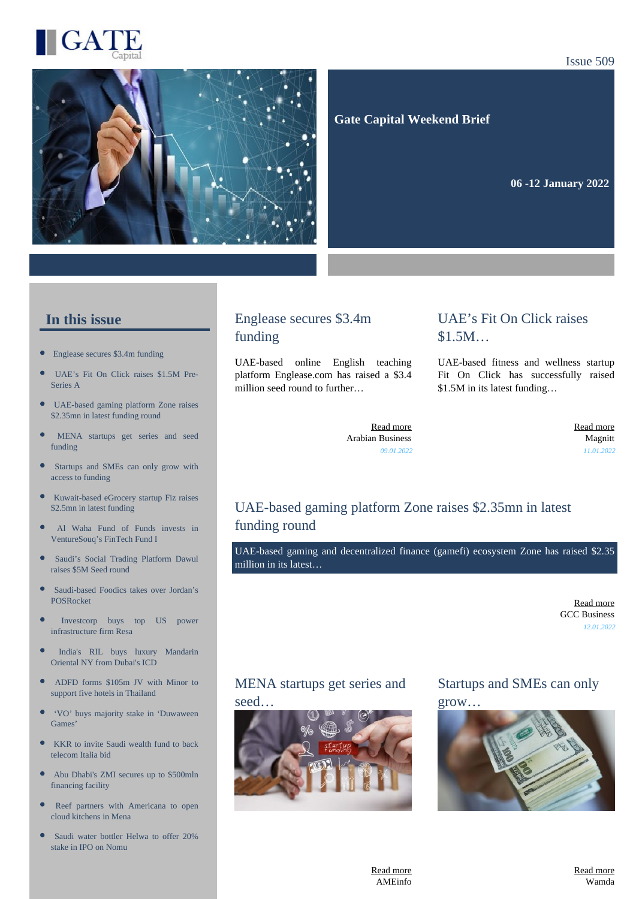

#### Issue 509



 **Gate Capital Weekend Brief**

**06 -12 January 2022** 

#### **In this issue**

- [Englease secures \\$3.4m funding](https://gatecapital.net/back_office/newsletters/tracking/5569/651)
- [UAE's Fit On Click raises \\$1.5M Pre-](https://gatecapital.net/back_office/newsletters/tracking/5576/651)[Series A](https://gatecapital.net/back_office/newsletters/tracking/5576/651)
- $\bullet$ [UAE-based gaming platform Zone raises](https://gatecapital.net/back_office/newsletters/tracking/5583/651) [\\$2.35mn in latest funding round](https://gatecapital.net/back_office/newsletters/tracking/5583/651)
- [MENA startups get series and seed](https://gatecapital.net/back_office/newsletters/tracking/5586/651) [funding](https://gatecapital.net/back_office/newsletters/tracking/5586/651)
- $\bullet$ [Startups and SMEs can only grow with](https://gatecapital.net/back_office/newsletters/tracking/5582/651) [access to funding](https://gatecapital.net/back_office/newsletters/tracking/5582/651)
- [Kuwait-based eGrocery startup Fiz raises](https://gatecapital.net/back_office/newsletters/tracking/5572/651)  $\bullet$ [\\$2.5mn in latest funding](https://gatecapital.net/back_office/newsletters/tracking/5572/651)
- [Al Waha Fund of Funds invests in](https://gatecapital.net/back_office/newsletters/tracking/5570/651) [VentureSouq's FinTech Fund I](https://gatecapital.net/back_office/newsletters/tracking/5570/651)
- $\bullet$ [Saudi's Social Trading Platform Dawul](https://gatecapital.net/back_office/newsletters/tracking/5575/651) [raises \\$5M Seed round](https://gatecapital.net/back_office/newsletters/tracking/5575/651)
- [Saudi-based Foodics takes over Jordan's](https://gatecapital.net/back_office/newsletters/tracking/5571/651) [POSRocket](https://gatecapital.net/back_office/newsletters/tracking/5571/651)
- [Investcorp buys top US power](https://gatecapital.net/back_office/newsletters/tracking/5568/651) [infrastructure firm Resa](https://gatecapital.net/back_office/newsletters/tracking/5568/651)
- [India's RIL buys luxury Mandarin](https://gatecapital.net/back_office/newsletters/tracking/5573/651) [Oriental NY from Dubai's ICD](https://gatecapital.net/back_office/newsletters/tracking/5573/651)
- [ADFD forms \\$105m JV with Minor to](https://gatecapital.net/back_office/newsletters/tracking/5578/651) [support five hotels in Thailand](https://gatecapital.net/back_office/newsletters/tracking/5578/651)
- $\bullet$ ['VO' buys majority stake in 'Duwaween](https://gatecapital.net/back_office/newsletters/tracking/5574/651) [Games'](https://gatecapital.net/back_office/newsletters/tracking/5574/651)
- $\bullet$ [KKR to invite Saudi wealth fund to back](https://gatecapital.net/back_office/newsletters/tracking/5577/651) [telecom Italia bid](https://gatecapital.net/back_office/newsletters/tracking/5577/651)
- $\bullet$ [Abu Dhabi's ZMI secures up to \\$500mln](https://gatecapital.net/back_office/newsletters/tracking/5579/651) [financing facility](https://gatecapital.net/back_office/newsletters/tracking/5579/651)
- × [Reef partners with Americana to open](https://gatecapital.net/back_office/newsletters/tracking/5587/651) [cloud kitchens in Mena](https://gatecapital.net/back_office/newsletters/tracking/5587/651)
- [Saudi water bottler Helwa to offer 20%](https://gatecapital.net/back_office/newsletters/tracking/5580/651) [stake in IPO on Nomu](https://gatecapital.net/back_office/newsletters/tracking/5580/651)

#### Englease secures \$3.4m funding

UAE-based online English teaching platform Englease.com has raised a \$3.4 million seed round to further…

#### UAE's Fit On Click raises \$1.5M…

UAE-based fitness and wellness startup Fit On Click has successfully raised \$1.5M in its latest funding…

[Read more](https://gatecapital.net/back_office/newsletters/tracking/5569/651) Arabian Business *09.01.2022*

[Read more](https://gatecapital.net/back_office/newsletters/tracking/5576/651) Magnitt *11.01.2022*

# UAE-based gaming platform Zone raises \$2.35mn in latest funding round

UAE-based gaming and decentralized finance (gamefi) ecosystem Zone has raised \$2.35 million in its latest…

> [Read more](https://gatecapital.net/back_office/newsletters/tracking/5583/651) GCC Business *12.01.2022*

#### MENA startups get series and seed…



Startups and SMEs can only grow…

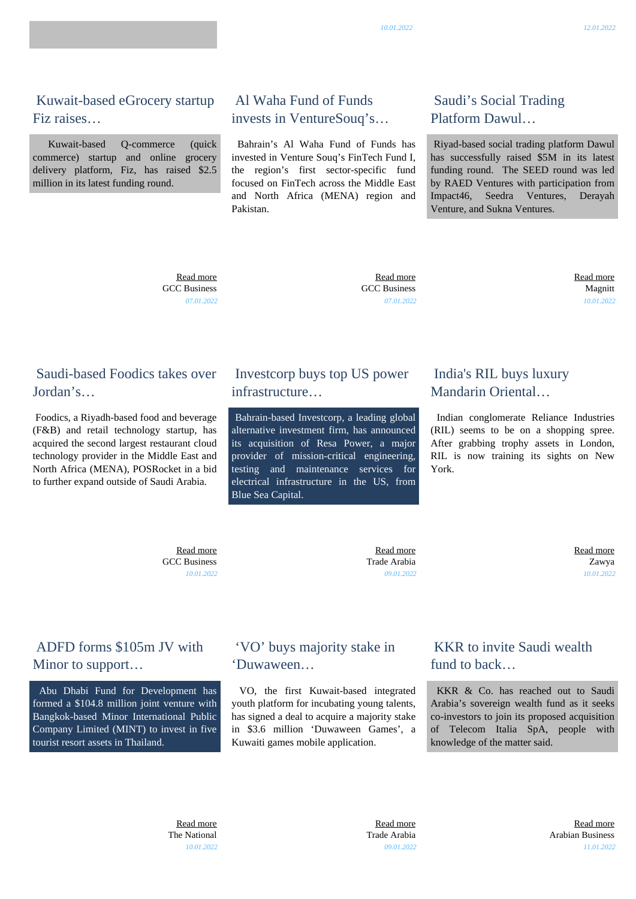*09.01.2022*

 [Read more](https://gatecapital.net/back_office/newsletters/tracking/5577/651) Arabian Business *11.01.2022*

#### Kuwait-based eGrocery startup Fiz raises…

 Kuwait-based Q-commerce (quick commerce) startup and online grocery delivery platform, Fiz, has raised \$2.5 million in its latest funding round.

### Al Waha Fund of Funds invests in VentureSouq's…

 Bahrain's Al Waha Fund of Funds has invested in Venture Souq's FinTech Fund I, the region's first sector-specific fund focused on FinTech across the Middle East and North Africa (MENA) region and Pakistan.

# Saudi's Social Trading Platform Dawul…

 Riyad-based social trading platform Dawul has successfully raised \$5M in its latest funding round. The SEED round was led by RAED Ventures with participation from Impact46, Seedra Ventures, Derayah Venture, and Sukna Ventures.

 [Read more](https://gatecapital.net/back_office/newsletters/tracking/5572/651) GCC Business *07.01.2022*

 [Read more](https://gatecapital.net/back_office/newsletters/tracking/5570/651) GCC Business *07.01.2022*

## Saudi-based Foodics takes over Jordan's…

 Foodics, a Riyadh-based food and beverage (F&B) and retail technology startup, has acquired the second largest restaurant cloud technology provider in the Middle East and North Africa (MENA), POSRocket in a bid to further expand outside of Saudi Arabia.

# Investcorp buys top US power infrastructure…

 Bahrain-based Investcorp, a leading global alternative investment firm, has announced its acquisition of Resa Power, a major provider of mission-critical engineering, testing and maintenance services for electrical infrastructure in the US, from Blue Sea Capital.

'VO' buys majority stake in

Kuwaiti games mobile application.

 VO, the first Kuwait-based integrated youth platform for incubating young talents, has signed a deal to acquire a majority stake in \$3.6 million 'Duwaween Games', a

'Duwaween…

# India's RIL buys luxury Mandarin Oriental…

 Indian conglomerate Reliance Industries (RIL) seems to be on a shopping spree. After grabbing trophy assets in London, RIL is now training its sights on New York.

 [Read more](https://gatecapital.net/back_office/newsletters/tracking/5571/651) GCC Business *10.01.2022*

Trade Arabia *09.01.2022*

[Read more](https://gatecapital.net/back_office/newsletters/tracking/5568/651)

# ADFD forms \$105m JV with Minor to support…

 Abu Dhabi Fund for Development has formed a \$104.8 million joint venture with Bangkok-based Minor International Public Company Limited (MINT) to invest in five tourist resort assets in Thailand.

# KKR to invite Saudi wealth fund to back…

 KKR & Co. has reached out to Saudi Arabia's sovereign wealth fund as it seeks co-investors to join its proposed acquisition of Telecom Italia SpA, people with knowledge of the matter said.

 [Read more](https://gatecapital.net/back_office/newsletters/tracking/5575/651) Magnitt *10.01.2022*

 [Read more](https://gatecapital.net/back_office/newsletters/tracking/5573/651) Zawya *10.01.2022*